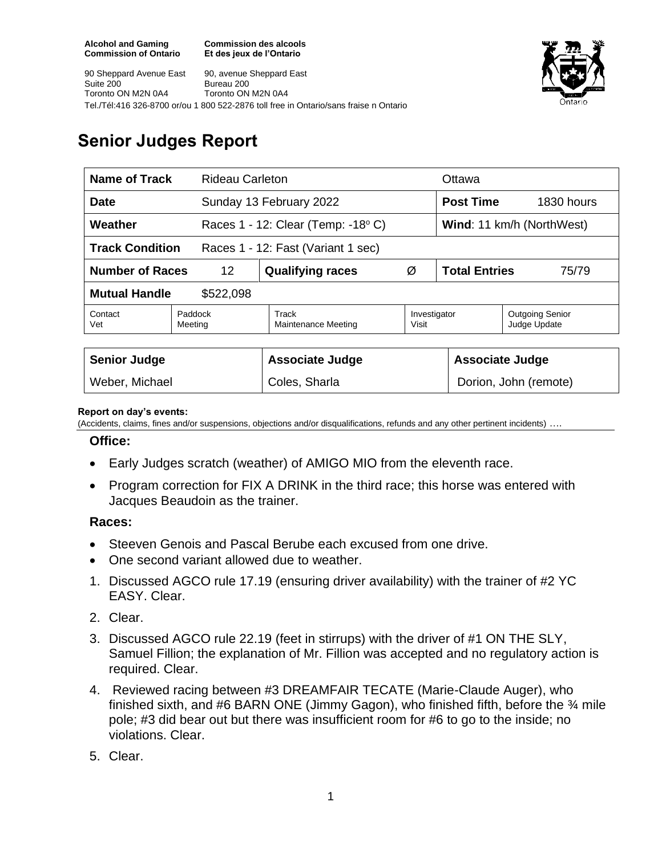**Commission des alcools Et des jeux de l'Ontario**





## **Senior Judges Report**

| <b>Name of Track</b><br><b>Rideau Carleton</b>               |                    |  |                                         |                       | Ottawa                        |                                        |
|--------------------------------------------------------------|--------------------|--|-----------------------------------------|-----------------------|-------------------------------|----------------------------------------|
| <b>Date</b>                                                  |                    |  | Sunday 13 February 2022                 |                       | <b>Post Time</b>              | 1830 hours                             |
| Weather                                                      |                    |  | Races $1 - 12$ : Clear (Temp: $-18$ °C) |                       | Wind: 11 km/h (NorthWest)     |                                        |
| <b>Track Condition</b><br>Races 1 - 12: Fast (Variant 1 sec) |                    |  |                                         |                       |                               |                                        |
| <b>Number of Races</b>                                       | 12                 |  | <b>Qualifying races</b>                 | Ø                     | <b>Total Entries</b><br>75/79 |                                        |
| <b>Mutual Handle</b><br>\$522,098                            |                    |  |                                         |                       |                               |                                        |
| Contact<br>Vet                                               | Paddock<br>Meeting |  | Track<br>Maintenance Meeting            | Investigator<br>Visit |                               | <b>Outgoing Senior</b><br>Judge Update |
|                                                              |                    |  |                                         |                       |                               |                                        |
| <b>Senior Judge</b>                                          |                    |  | <b>Associate Judge</b>                  |                       | <b>Associate Judge</b>        |                                        |
| Weber, Michael                                               |                    |  | Coles, Sharla                           |                       | Dorion, John (remote)         |                                        |

## **Report on day's events:**

(Accidents, claims, fines and/or suspensions, objections and/or disqualifications, refunds and any other pertinent incidents) ….

## **Office:**

- Early Judges scratch (weather) of AMIGO MIO from the eleventh race.
- Program correction for FIX A DRINK in the third race; this horse was entered with Jacques Beaudoin as the trainer.

## **Races:**

- Steeven Genois and Pascal Berube each excused from one drive.
- One second variant allowed due to weather.
- 1. Discussed AGCO rule 17.19 (ensuring driver availability) with the trainer of #2 YC EASY. Clear.
- 2. Clear.
- 3. Discussed AGCO rule 22.19 (feet in stirrups) with the driver of #1 ON THE SLY, Samuel Fillion; the explanation of Mr. Fillion was accepted and no regulatory action is required. Clear.
- 4. Reviewed racing between #3 DREAMFAIR TECATE (Marie-Claude Auger), who finished sixth, and #6 BARN ONE (Jimmy Gagon), who finished fifth, before the  $\frac{3}{4}$  mile pole; #3 did bear out but there was insufficient room for #6 to go to the inside; no violations. Clear.
- 5. Clear.